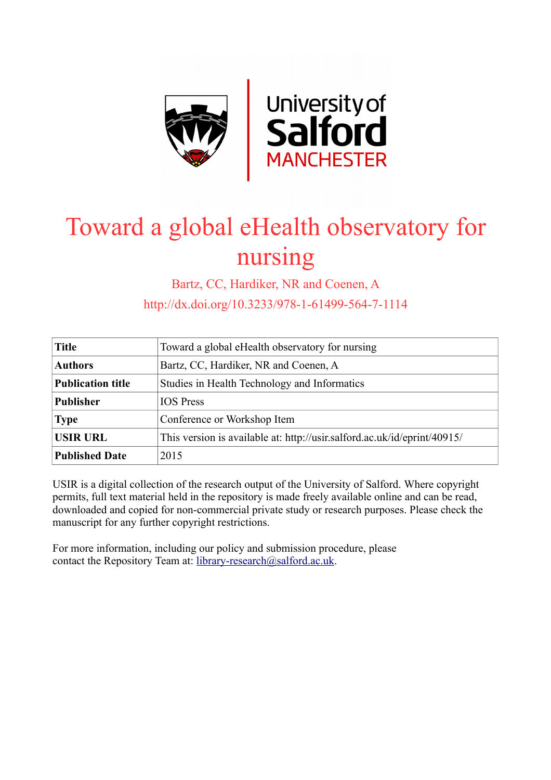

# Toward a global eHealth observatory for nursing

Bartz, CC, Hardiker, NR and Coenen, A

http://dx.doi.org/10.3233/978-1-61499-564-7-1114

| <b>Title</b>             | Toward a global eHealth observatory for nursing                          |
|--------------------------|--------------------------------------------------------------------------|
| <b>Authors</b>           | Bartz, CC, Hardiker, NR and Coenen, A                                    |
| <b>Publication title</b> | Studies in Health Technology and Informatics                             |
| <b>Publisher</b>         | <b>IOS</b> Press                                                         |
| <b>Type</b>              | Conference or Workshop Item                                              |
| <b>USIR URL</b>          | This version is available at: http://usir.salford.ac.uk/id/eprint/40915/ |
| <b>Published Date</b>    | 2015                                                                     |

USIR is a digital collection of the research output of the University of Salford. Where copyright permits, full text material held in the repository is made freely available online and can be read, downloaded and copied for non-commercial private study or research purposes. Please check the manuscript for any further copyright restrictions.

For more information, including our policy and submission procedure, please contact the Repository Team at: [library-research@salford.ac.uk.](mailto:library-research@salford.ac.uk)